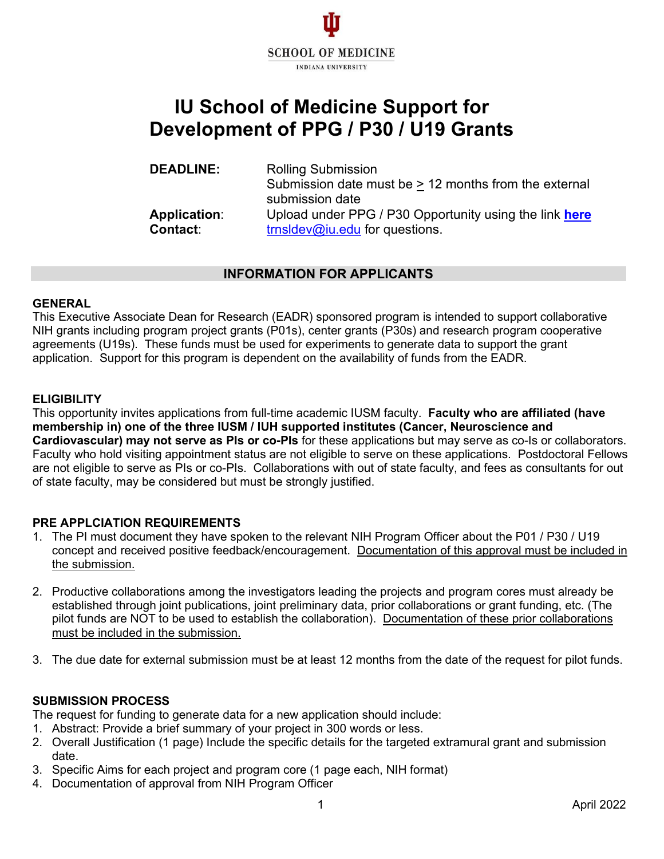

# **IU School of Medicine Support for Development of PPG / P30 / U19 Grants**

**DEADLINE:** Rolling Submission Submission date must be  $\geq$  12 months from the external submission date **Application:** Upload under PPG / P30 Opportunity using the link **here Contact**: **the action contact**: **the action contact**: **the action contact**: **domain contact**: **contact**: **domain contact**: **contact**: **doma** [trnsldev@iu.edu](mailto:trnsldev@iu.edu) for questions.

## **INFORMATION FOR APPLICANTS**

#### **GENERAL**

This Executive Associate Dean for Research (EADR) sponsored program is intended to support collaborative NIH grants including program project grants (P01s), center grants (P30s) and research program cooperative agreements (U19s). These funds must be used for experiments to generate data to support the grant application. Support for this program is dependent on the availability of funds from the EADR.

## **ELIGIBILITY**

This opportunity invites applications from full-time academic IUSM faculty. **Faculty who are affiliated (have membership in) one of the three IUSM / IUH supported institutes (Cancer, Neuroscience and Cardiovascular) may not serve as PIs or co-PIs** for these applications but may serve as co-Is or collaborators. Faculty who hold visiting appointment status are not eligible to serve on these applications. Postdoctoral Fellows are not eligible to serve as PIs or co-PIs. Collaborations with out of state faculty, and fees as consultants for out of state faculty, may be considered but must be strongly justified.

## **PRE APPLCIATION REQUIREMENTS**

- 1. The PI must document they have spoken to the relevant NIH Program Officer about the P01 / P30 / U19 concept and received positive feedback/encouragement. Documentation of this approval must be included in the submission.
- 2. Productive collaborations among the investigators leading the projects and program cores must already be established through joint publications, joint preliminary data, prior collaborations or grant funding, etc. (The pilot funds are NOT to be used to establish the collaboration). Documentation of these prior collaborations must be included in the submission.
- 3. The due date for external submission must be at least 12 months from the date of the request for pilot funds.

## **SUBMISSION PROCESS**

The request for funding to generate data for a new application should include:

- 1. Abstract: Provide a brief summary of your project in 300 words or less.
- 2. Overall Justification (1 page) Include the specific details for the targeted extramural grant and submission date.
- 3. Specific Aims for each project and program core (1 page each, NIH format)
- 4. Documentation of approval from NIH Program Officer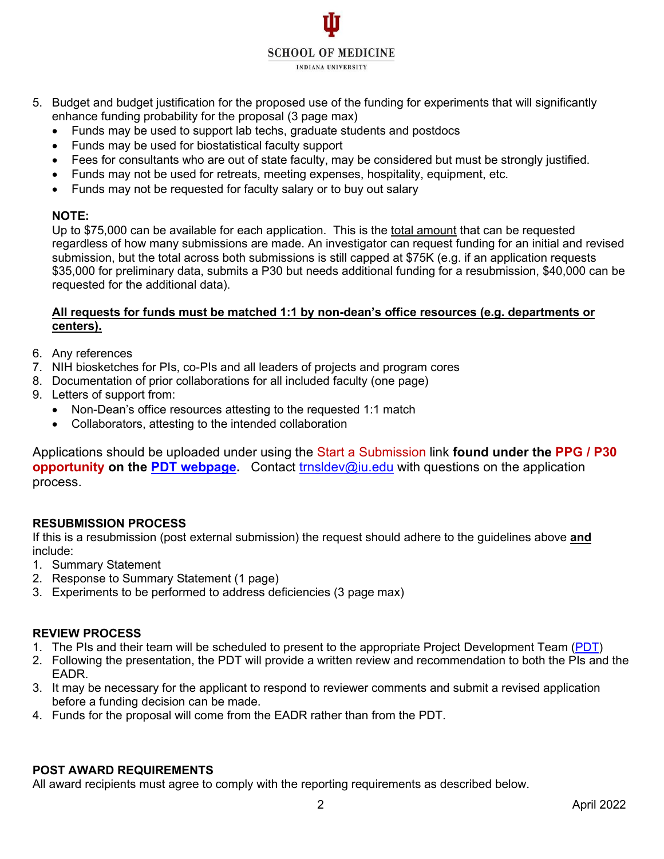**SCHOOL OF MEDICINE INDIANA UNIVERSITY** 

- 5. Budget and budget justification for the proposed use of the funding for experiments that will significantly enhance funding probability for the proposal (3 page max)
	- Funds may be used to support lab techs, graduate students and postdocs
	- Funds may be used for biostatistical faculty support
	- Fees for consultants who are out of state faculty, may be considered but must be strongly justified.
	- Funds may not be used for retreats, meeting expenses, hospitality, equipment, etc.
	- Funds may not be requested for faculty salary or to buy out salary

# **NOTE:**

Up to \$75,000 can be available for each application. This is the total amount that can be requested regardless of how many submissions are made. An investigator can request funding for an initial and revised submission, but the total across both submissions is still capped at \$75K (e.g. if an application requests \$35,000 for preliminary data, submits a P30 but needs additional funding for a resubmission, \$40,000 can be requested for the additional data).

## **All requests for funds must be matched 1:1 by non-dean's office resources (e.g. departments or centers).**

- 6. Any references
- 7. NIH biosketches for PIs, co-PIs and all leaders of projects and program cores
- 8. Documentation of prior collaborations for all included faculty (one page)
- 9. Letters of support from:
	- Non-Dean's office resources attesting to the requested 1:1 match
	- Collaborators, attesting to the intended collaboration

Applications should be uploaded under using the Start a Submission link **found under the PPG / P30 opportunity on the [PDT webpage.](https://indianactsi.org/researchers/services-tools/translational-research-development/pdt/)** Contact [trnsldev@iu.edu](mailto:trnsldev@iu.edu) with questions on the application process.

# **RESUBMISSION PROCESS**

If this is a resubmission (post external submission) the request should adhere to the guidelines above **and** include:

- 1. Summary Statement
- 2. Response to Summary Statement (1 page)
- 3. Experiments to be performed to address deficiencies (3 page max)

# **REVIEW PROCESS**

- 1. The PIs and their team will be scheduled to present to the appropriate Project Development Team [\(PDT\)](https://indianactsi.org/researchers/services-tools/translational-research-development/pdt/)
- 2. Following the presentation, the PDT will provide a written review and recommendation to both the PIs and the EADR.
- 3. It may be necessary for the applicant to respond to reviewer comments and submit a revised application before a funding decision can be made.
- 4. Funds for the proposal will come from the EADR rather than from the PDT.

# **POST AWARD REQUIREMENTS**

All award recipients must agree to comply with the reporting requirements as described below.